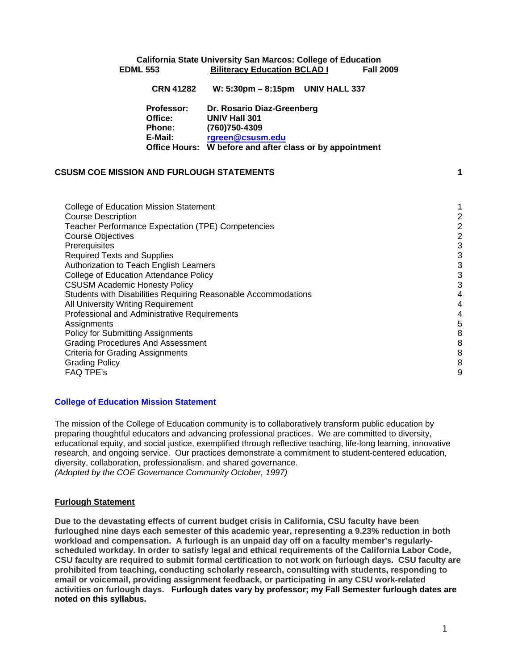## Office:  **Office Hours: W before and after class or by appointment California State University San Marcos: College of Education EDML 553 Biliteracy Education BCLAD I Fall 2009 CRN 41282 W: 5:30pm – 8:15pm UNIV HALL 337 Professor: Dr. Rosario Diaz-Greenberg Office: UNIV Hall 301 Phone: (760)750-4309 E-Mail: rgreen@csusm.edu**

## **CSUSM COE MISSION AND FURLOUGH STATEMENTS 1**

| <b>College of Education Mission Statement</b>                  |                |
|----------------------------------------------------------------|----------------|
| <b>Course Description</b>                                      | 2              |
| Teacher Performance Expectation (TPE) Competencies             | 2              |
| <b>Course Objectives</b>                                       | $\overline{2}$ |
| Prerequisites                                                  | 3              |
| <b>Required Texts and Supplies</b>                             | 3              |
| Authorization to Teach English Learners                        | 3              |
| College of Education Attendance Policy                         | 3              |
| <b>CSUSM Academic Honesty Policy</b>                           | 3              |
| Students with Disabilities Requiring Reasonable Accommodations | 4              |
| All University Writing Requirement                             | 4              |
| Professional and Administrative Requirements                   | 4              |
| Assignments                                                    | 5              |
| <b>Policy for Submitting Assignments</b>                       | 8              |
| <b>Grading Procedures And Assessment</b>                       | 8              |
| <b>Criteria for Grading Assignments</b>                        | 8              |
| <b>Grading Policy</b>                                          | 8              |
| <b>FAQ TPE's</b>                                               | 9              |
|                                                                |                |

## **College of Education Mission Statement**

The mission of the College of Education community is to collaboratively transform public education by preparing thoughtful educators and advancing professional practices. We are committed to diversity, educational equity, and social justice, exemplified through reflective teaching, life-long learning, innovative research, and ongoing service. Our practices demonstrate a commitment to student-centered education, diversity, collaboration, professionalism, and shared governance. *(Adopted by the COE Governance Community October, 1997)* 

### **Furlough Statement**

 **activities on furlough days. Furlough dates vary by professor; my Fall Semester furlough dates are Due to the devastating effects of current budget crisis in California, CSU faculty have been furloughed nine days each semester of this academic year, representing a 9.23% reduction in both workload and compensation. A furlough is an unpaid day off on a faculty member's regularlyscheduled workday. In order to satisfy legal and ethical requirements of the California Labor Code, CSU faculty are required to submit formal certification to not work on furlough days. CSU faculty are prohibited from teaching, conducting scholarly research, consulting with students, responding to email or voicemail, providing assignment feedback, or participating in any CSU work-related noted on this syllabus.**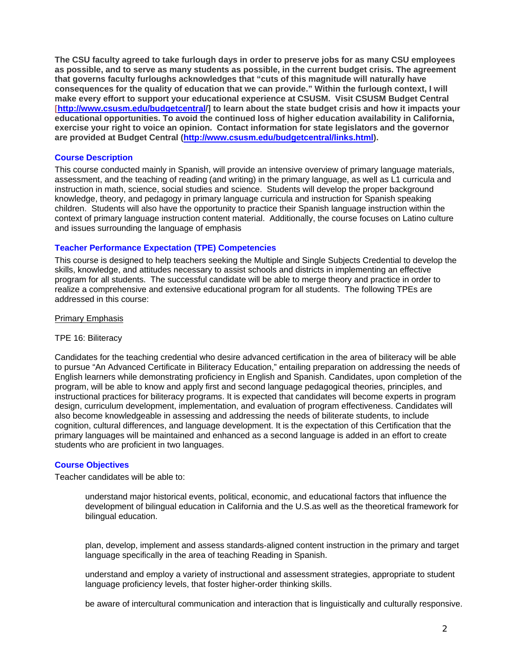**The CSU faculty agreed to take furlough days in order to preserve jobs for as many CSU employees as possible, and to serve as many students as possible, in the current budget crisis. The agreement that governs faculty furloughs acknowledges that "cuts of this magnitude will naturally have consequences for the quality of education that we can provide." Within the furlough context, I will make every effort to support your educational experience at CSUSM. Visit CSUSM Budget Central [http://www.csusm.edu/budgetcentral/] to learn about the state budget crisis and how it impacts your educational opportunities. To avoid the continued loss of higher education availability in California, exercise your right to voice an opinion. Contact information for state legislators and the governor are provided at Budget Central (http://www.csusm.edu/budgetcentral/links.html).** 

#### **Course Description**

This course conducted mainly in Spanish, will provide an intensive overview of primary language materials, assessment, and the teaching of reading (and writing) in the primary language, as well as L1 curricula and instruction in math, science, social studies and science. Students will develop the proper background knowledge, theory, and pedagogy in primary language curricula and instruction for Spanish speaking children. Students will also have the opportunity to practice their Spanish language instruction within the context of primary language instruction content material. Additionally, the course focuses on Latino culture and issues surrounding the language of emphasis

#### **Teacher Performance Expectation (TPE) Competencies**

This course is designed to help teachers seeking the Multiple and Single Subjects Credential to develop the skills, knowledge, and attitudes necessary to assist schools and districts in implementing an effective program for all students. The successful candidate will be able to merge theory and practice in order to realize a comprehensive and extensive educational program for all students. The following TPEs are addressed in this course:

#### Primary Emphasis

#### TPE 16: Biliteracy

Candidates for the teaching credential who desire advanced certification in the area of biliteracy will be able to pursue "An Advanced Certificate in Biliteracy Education," entailing preparation on addressing the needs of English learners while demonstrating proficiency in English and Spanish. Candidates, upon completion of the program, will be able to know and apply first and second language pedagogical theories, principles, and instructional practices for biliteracy programs. It is expected that candidates will become experts in program design, curriculum development, implementation, and evaluation of program effectiveness. Candidates will also become knowledgeable in assessing and addressing the needs of biliterate students, to include cognition, cultural differences, and language development. It is the expectation of this Certification that the primary languages will be maintained and enhanced as a second language is added in an effort to create students who are proficient in two languages.

## **Course Objectives**

Teacher candidates will be able to:

understand major historical events, political, economic, and educational factors that influence the development of bilingual education in California and the U.S.as well as the theoretical framework for bilingual education.

plan, develop, implement and assess standards-aligned content instruction in the primary and target language specifically in the area of teaching Reading in Spanish.

understand and employ a variety of instructional and assessment strategies, appropriate to student language proficiency levels, that foster higher-order thinking skills.

be aware of intercultural communication and interaction that is linguistically and culturally responsive.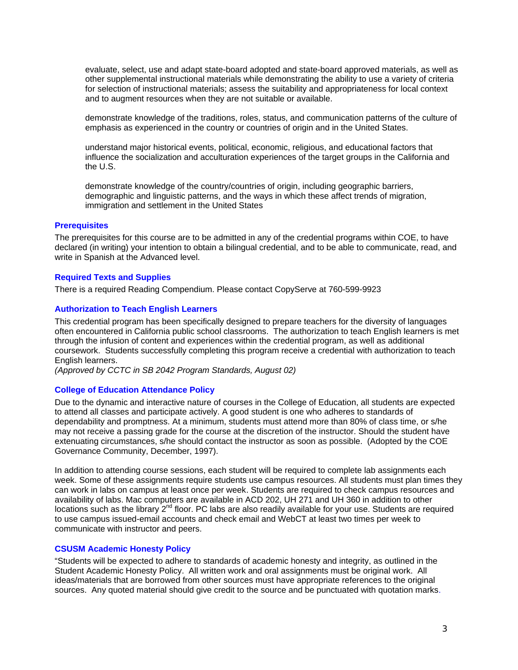evaluate, select, use and adapt state-board adopted and state-board approved materials, as well as other supplemental instructional materials while demonstrating the ability to use a variety of criteria for selection of instructional materials; assess the suitability and appropriateness for local context and to augment resources when they are not suitable or available.

demonstrate knowledge of the traditions, roles, status, and communication patterns of the culture of emphasis as experienced in the country or countries of origin and in the United States.

understand major historical events, political, economic, religious, and educational factors that influence the socialization and acculturation experiences of the target groups in the California and the U.S.

demonstrate knowledge of the country/countries of origin, including geographic barriers, demographic and linguistic patterns, and the ways in which these affect trends of migration, immigration and settlement in the United States

### **Prerequisites**

The prerequisites for this course are to be admitted in any of the credential programs within COE, to have declared (in writing) your intention to obtain a bilingual credential, and to be able to communicate, read, and write in Spanish at the Advanced level.

## **Required Texts and Supplies**

There is a required Reading Compendium. Please contact CopyServe at 760-599-9923

## **Authorization to Teach English Learners**

This credential program has been specifically designed to prepare teachers for the diversity of languages often encountered in California public school classrooms. The authorization to teach English learners is met through the infusion of content and experiences within the credential program, as well as additional coursework. Students successfully completing this program receive a credential with authorization to teach English learners.

*(Approved by CCTC in SB 2042 Program Standards, August 02)* 

### **College of Education Attendance Policy**

Due to the dynamic and interactive nature of courses in the College of Education, all students are expected to attend all classes and participate actively. A good student is one who adheres to standards of dependability and promptness. At a minimum, students must attend more than 80% of class time, or s/he may not receive a passing grade for the course at the discretion of the instructor. Should the student have extenuating circumstances, s/he should contact the instructor as soon as possible. (Adopted by the COE Governance Community, December, 1997).

In addition to attending course sessions, each student will be required to complete lab assignments each week. Some of these assignments require students use campus resources. All students must plan times they can work in labs on campus at least once per week. Students are required to check campus resources and availability of labs. Mac computers are available in ACD 202, UH 271 and UH 360 in addition to other locations such as the library  $2^{nd}$  floor. PC labs are also readily available for your use. Students are required to use campus issued-email accounts and check email and WebCT at least two times per week to communicate with instructor and peers.

### **CSUSM Academic Honesty Policy**

"Students will be expected to adhere to standards of academic honesty and integrity, as outlined in the Student Academic Honesty Policy. All written work and oral assignments must be original work. All ideas/materials that are borrowed from other sources must have appropriate references to the original sources. Any quoted material should give credit to the source and be punctuated with quotation marks.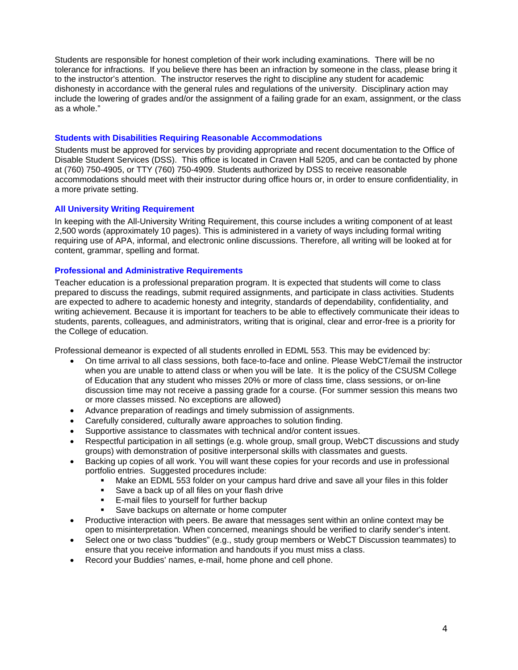Students are responsible for honest completion of their work including examinations. There will be no tolerance for infractions. If you believe there has been an infraction by someone in the class, please bring it to the instructor's attention. The instructor reserves the right to discipline any student for academic dishonesty in accordance with the general rules and regulations of the university. Disciplinary action may include the lowering of grades and/or the assignment of a failing grade for an exam, assignment, or the class as a whole."

### **Students with Disabilities Requiring Reasonable Accommodations**

Students must be approved for services by providing appropriate and recent documentation to the Office of Disable Student Services (DSS). This office is located in Craven Hall 5205, and can be contacted by phone at (760) 750-4905, or TTY (760) 750-4909. Students authorized by DSS to receive reasonable accommodations should meet with their instructor during office hours or, in order to ensure confidentiality, in a more private setting.

## **All University Writing Requirement**

In keeping with the All-University Writing Requirement, this course includes a writing component of at least 2,500 words (approximately 10 pages). This is administered in a variety of ways including formal writing requiring use of APA, informal, and electronic online discussions. Therefore, all writing will be looked at for content, grammar, spelling and format.

## **Professional and Administrative Requirements**

Teacher education is a professional preparation program. It is expected that students will come to class prepared to discuss the readings, submit required assignments, and participate in class activities. Students are expected to adhere to academic honesty and integrity, standards of dependability, confidentiality, and writing achievement. Because it is important for teachers to be able to effectively communicate their ideas to students, parents, colleagues, and administrators, writing that is original, clear and error-free is a priority for the College of education.

Professional demeanor is expected of all students enrolled in EDML 553. This may be evidenced by:

- On time arrival to all class sessions, both face-to-face and online. Please WebCT/email the instructor when you are unable to attend class or when you will be late. It is the policy of the CSUSM College of Education that any student who misses 20% or more of class time, class sessions, or on-line discussion time may not receive a passing grade for a course. (For summer session this means two or more classes missed. No exceptions are allowed)
- Advance preparation of readings and timely submission of assignments.
- Carefully considered, culturally aware approaches to solution finding.
- Supportive assistance to classmates with technical and/or content issues.
- Respectful participation in all settings (e.g. whole group, small group, WebCT discussions and study groups) with demonstration of positive interpersonal skills with classmates and guests.
- Backing up copies of all work. You will want these copies for your records and use in professional portfolio entries. Suggested procedures include:
	- Make an EDML 553 folder on your campus hard drive and save all your files in this folder
	- Save a back up of all files on your flash drive
	- **E-mail files to yourself for further backup**
	- Save backups on alternate or home computer
- Productive interaction with peers. Be aware that messages sent within an online context may be open to misinterpretation. When concerned, meanings should be verified to clarify sender's intent.
- Select one or two class "buddies" (e.g., study group members or WebCT Discussion teammates) to ensure that you receive information and handouts if you must miss a class.
- Record your Buddies' names, e-mail, home phone and cell phone.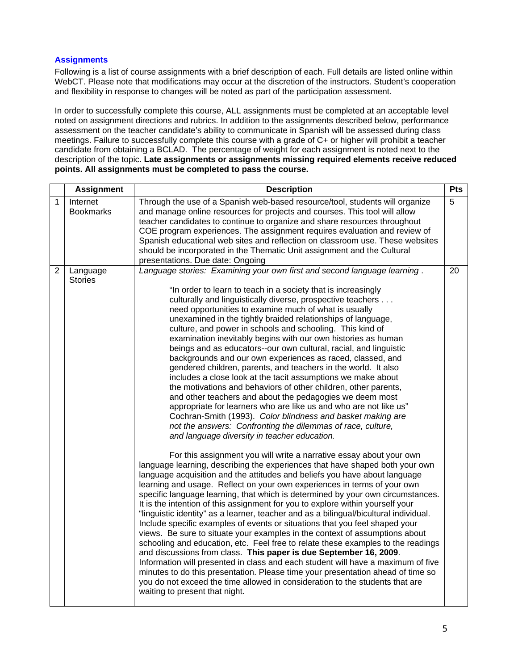## **Assignments**

Following is a list of course assignments with a brief description of each. Full details are listed online within WebCT. Please note that modifications may occur at the discretion of the instructors. Student's cooperation and flexibility in response to changes will be noted as part of the participation assessment.

In order to successfully complete this course, ALL assignments must be completed at an acceptable level noted on assignment directions and rubrics. In addition to the assignments described below, performance assessment on the teacher candidate's ability to communicate in Spanish will be assessed during class meetings. Failure to successfully complete this course with a grade of C+ or higher will prohibit a teacher candidate from obtaining a BCLAD. The percentage of weight for each assignment is noted next to the description of the topic. **Late assignments or assignments missing required elements receive reduced points. All assignments must be completed to pass the course.** 

|                | <b>Assignment</b>            | <b>Description</b><br>Pts                                                                                                                                                                                                                                                                                                                                                                                                                                                                                                                                                                                                                                                                                                                                                                                                                                                                                                                                                                                                                                                                                                                                                                                                                                                                                                                                                                                                                                                                                                                                                                                                                                                                                                                                                                                                                                                                                                                                                                                                                                                                                                                                                                                                                                                                                             |    |
|----------------|------------------------------|-----------------------------------------------------------------------------------------------------------------------------------------------------------------------------------------------------------------------------------------------------------------------------------------------------------------------------------------------------------------------------------------------------------------------------------------------------------------------------------------------------------------------------------------------------------------------------------------------------------------------------------------------------------------------------------------------------------------------------------------------------------------------------------------------------------------------------------------------------------------------------------------------------------------------------------------------------------------------------------------------------------------------------------------------------------------------------------------------------------------------------------------------------------------------------------------------------------------------------------------------------------------------------------------------------------------------------------------------------------------------------------------------------------------------------------------------------------------------------------------------------------------------------------------------------------------------------------------------------------------------------------------------------------------------------------------------------------------------------------------------------------------------------------------------------------------------------------------------------------------------------------------------------------------------------------------------------------------------------------------------------------------------------------------------------------------------------------------------------------------------------------------------------------------------------------------------------------------------------------------------------------------------------------------------------------------------|----|
| 1              | Internet<br><b>Bookmarks</b> | Through the use of a Spanish web-based resource/tool, students will organize<br>and manage online resources for projects and courses. This tool will allow<br>teacher candidates to continue to organize and share resources throughout<br>COE program experiences. The assignment requires evaluation and review of<br>Spanish educational web sites and reflection on classroom use. These websites<br>should be incorporated in the Thematic Unit assignment and the Cultural<br>presentations. Due date: Ongoing                                                                                                                                                                                                                                                                                                                                                                                                                                                                                                                                                                                                                                                                                                                                                                                                                                                                                                                                                                                                                                                                                                                                                                                                                                                                                                                                                                                                                                                                                                                                                                                                                                                                                                                                                                                                  | 5  |
| $\overline{2}$ | Language<br><b>Stories</b>   | Language stories: Examining your own first and second language learning.<br>"In order to learn to teach in a society that is increasingly<br>culturally and linguistically diverse, prospective teachers<br>need opportunities to examine much of what is usually<br>unexamined in the tightly braided relationships of language,<br>culture, and power in schools and schooling. This kind of<br>examination inevitably begins with our own histories as human<br>beings and as educators--our own cultural, racial, and linguistic<br>backgrounds and our own experiences as raced, classed, and<br>gendered children, parents, and teachers in the world. It also<br>includes a close look at the tacit assumptions we make about<br>the motivations and behaviors of other children, other parents,<br>and other teachers and about the pedagogies we deem most<br>appropriate for learners who are like us and who are not like us"<br>Cochran-Smith (1993). Color blindness and basket making are<br>not the answers: Confronting the dilemmas of race, culture,<br>and language diversity in teacher education.<br>For this assignment you will write a narrative essay about your own<br>language learning, describing the experiences that have shaped both your own<br>language acquisition and the attitudes and beliefs you have about language<br>learning and usage. Reflect on your own experiences in terms of your own<br>specific language learning, that which is determined by your own circumstances.<br>It is the intention of this assignment for you to explore within yourself your<br>"linguistic identity" as a learner, teacher and as a bilingual/bicultural individual.<br>Include specific examples of events or situations that you feel shaped your<br>views. Be sure to situate your examples in the context of assumptions about<br>schooling and education, etc. Feel free to relate these examples to the readings<br>and discussions from class. This paper is due September 16, 2009.<br>Information will presented in class and each student will have a maximum of five<br>minutes to do this presentation. Please time your presentation ahead of time so<br>you do not exceed the time allowed in consideration to the students that are<br>waiting to present that night. | 20 |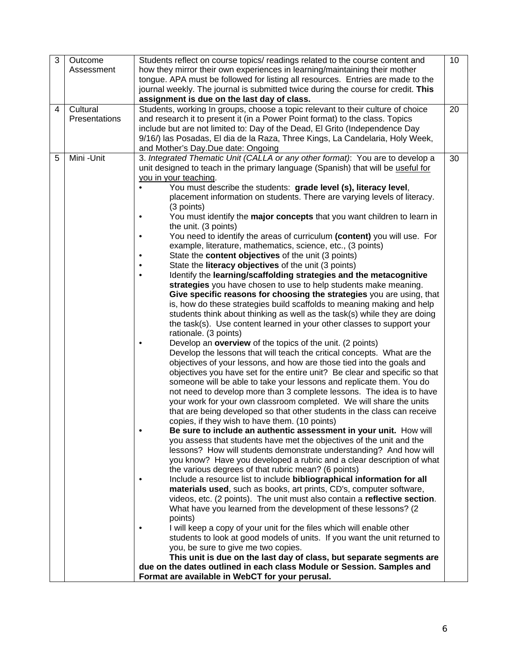| 3 | Outcome<br>Assessment     | Students reflect on course topics/ readings related to the course content and<br>how they mirror their own experiences in learning/maintaining their mother<br>tongue. APA must be followed for listing all resources. Entries are made to the<br>journal weekly. The journal is submitted twice during the course for credit. This<br>assignment is due on the last day of class.                                                                                                                                                                                                                                                                                                                                                                                                                                                                                                                                                                                                                                                                                                                                                                                                                                                                                                                                                                                                                                                                                                                                                                                                                                                                                                                                                                                                                                                                                                                                                                                                                                                                                                                                                                                                                                                                                                                                                                                                                                                                                                                                                                                                                                                                                                                                                                                                                                                                                                                                                                                       | 10 |
|---|---------------------------|--------------------------------------------------------------------------------------------------------------------------------------------------------------------------------------------------------------------------------------------------------------------------------------------------------------------------------------------------------------------------------------------------------------------------------------------------------------------------------------------------------------------------------------------------------------------------------------------------------------------------------------------------------------------------------------------------------------------------------------------------------------------------------------------------------------------------------------------------------------------------------------------------------------------------------------------------------------------------------------------------------------------------------------------------------------------------------------------------------------------------------------------------------------------------------------------------------------------------------------------------------------------------------------------------------------------------------------------------------------------------------------------------------------------------------------------------------------------------------------------------------------------------------------------------------------------------------------------------------------------------------------------------------------------------------------------------------------------------------------------------------------------------------------------------------------------------------------------------------------------------------------------------------------------------------------------------------------------------------------------------------------------------------------------------------------------------------------------------------------------------------------------------------------------------------------------------------------------------------------------------------------------------------------------------------------------------------------------------------------------------------------------------------------------------------------------------------------------------------------------------------------------------------------------------------------------------------------------------------------------------------------------------------------------------------------------------------------------------------------------------------------------------------------------------------------------------------------------------------------------------------------------------------------------------------------------------------------------------|----|
| 4 | Cultural<br>Presentations | Students, working In groups, choose a topic relevant to their culture of choice<br>and research it to present it (in a Power Point format) to the class. Topics<br>include but are not limited to: Day of the Dead, El Grito (Independence Day<br>9/16/) las Posadas, El dia de la Raza, Three Kings, La Candelaria, Holy Week,<br>and Mother's Day.Due date: Ongoing                                                                                                                                                                                                                                                                                                                                                                                                                                                                                                                                                                                                                                                                                                                                                                                                                                                                                                                                                                                                                                                                                                                                                                                                                                                                                                                                                                                                                                                                                                                                                                                                                                                                                                                                                                                                                                                                                                                                                                                                                                                                                                                                                                                                                                                                                                                                                                                                                                                                                                                                                                                                    | 20 |
| 5 | Mini - Unit               | 3. Integrated Thematic Unit (CALLA or any other format): You are to develop a<br>unit designed to teach in the primary language (Spanish) that will be useful for<br>you in your teaching.<br>You must describe the students: grade level (s), literacy level,<br>placement information on students. There are varying levels of literacy.<br>(3 points)<br>You must identify the major concepts that you want children to learn in<br>the unit. (3 points)<br>You need to identify the areas of curriculum (content) you will use. For<br>$\bullet$<br>example, literature, mathematics, science, etc., (3 points)<br>State the content objectives of the unit (3 points)<br>State the <b>literacy objectives</b> of the unit (3 points)<br>Identify the learning/scaffolding strategies and the metacognitive<br>$\bullet$<br>strategies you have chosen to use to help students make meaning.<br>Give specific reasons for choosing the strategies you are using, that<br>is, how do these strategies build scaffolds to meaning making and help<br>students think about thinking as well as the task(s) while they are doing<br>the task(s). Use content learned in your other classes to support your<br>rationale. (3 points)<br>Develop an overview of the topics of the unit. (2 points)<br>$\bullet$<br>Develop the lessons that will teach the critical concepts. What are the<br>objectives of your lessons, and how are those tied into the goals and<br>objectives you have set for the entire unit? Be clear and specific so that<br>someone will be able to take your lessons and replicate them. You do<br>not need to develop more than 3 complete lessons. The idea is to have<br>your work for your own classroom completed. We will share the units<br>that are being developed so that other students in the class can receive<br>copies, if they wish to have them. (10 points)<br>Be sure to include an authentic assessment in your unit. How will<br>you assess that students have met the objectives of the unit and the<br>lessons? How will students demonstrate understanding? And how will<br>you know? Have you developed a rubric and a clear description of what<br>the various degrees of that rubric mean? (6 points)<br>Include a resource list to include bibliographical information for all<br>materials used, such as books, art prints, CD's, computer software,<br>videos, etc. (2 points). The unit must also contain a reflective section.<br>What have you learned from the development of these lessons? (2)<br>points)<br>I will keep a copy of your unit for the files which will enable other<br>students to look at good models of units. If you want the unit returned to<br>you, be sure to give me two copies.<br>This unit is due on the last day of class, but separate segments are<br>due on the dates outlined in each class Module or Session. Samples and<br>Format are available in WebCT for your perusal. | 30 |
|   |                           |                                                                                                                                                                                                                                                                                                                                                                                                                                                                                                                                                                                                                                                                                                                                                                                                                                                                                                                                                                                                                                                                                                                                                                                                                                                                                                                                                                                                                                                                                                                                                                                                                                                                                                                                                                                                                                                                                                                                                                                                                                                                                                                                                                                                                                                                                                                                                                                                                                                                                                                                                                                                                                                                                                                                                                                                                                                                                                                                                                          |    |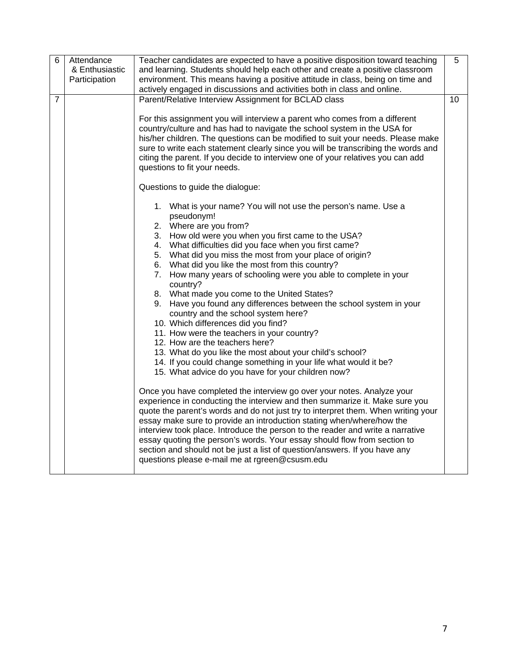| 6              | Attendance     | Teacher candidates are expected to have a positive disposition toward teaching    | 5 |
|----------------|----------------|-----------------------------------------------------------------------------------|---|
|                | & Enthusiastic | and learning. Students should help each other and create a positive classroom     |   |
|                | Participation  | environment. This means having a positive attitude in class, being on time and    |   |
|                |                | actively engaged in discussions and activities both in class and online.          |   |
| $\overline{7}$ |                | Parent/Relative Interview Assignment for BCLAD class<br>10                        |   |
|                |                |                                                                                   |   |
|                |                | For this assignment you will interview a parent who comes from a different        |   |
|                |                | country/culture and has had to navigate the school system in the USA for          |   |
|                |                | his/her children. The questions can be modified to suit your needs. Please make   |   |
|                |                | sure to write each statement clearly since you will be transcribing the words and |   |
|                |                | citing the parent. If you decide to interview one of your relatives you can add   |   |
|                |                | questions to fit your needs.                                                      |   |
|                |                | Questions to guide the dialogue:                                                  |   |
|                |                | 1. What is your name? You will not use the person's name. Use a                   |   |
|                |                | pseudonym!                                                                        |   |
|                |                | 2. Where are you from?                                                            |   |
|                |                | 3. How old were you when you first came to the USA?                               |   |
|                |                | 4. What difficulties did you face when you first came?                            |   |
|                |                | 5. What did you miss the most from your place of origin?                          |   |
|                |                | 6. What did you like the most from this country?                                  |   |
|                |                | 7. How many years of schooling were you able to complete in your<br>country?      |   |
|                |                | 8. What made you come to the United States?                                       |   |
|                |                | 9. Have you found any differences between the school system in your               |   |
|                |                | country and the school system here?                                               |   |
|                |                | 10. Which differences did you find?                                               |   |
|                |                | 11. How were the teachers in your country?                                        |   |
|                |                | 12. How are the teachers here?                                                    |   |
|                |                | 13. What do you like the most about your child's school?                          |   |
|                |                | 14. If you could change something in your life what would it be?                  |   |
|                |                | 15. What advice do you have for your children now?                                |   |
|                |                | Once you have completed the interview go over your notes. Analyze your            |   |
|                |                | experience in conducting the interview and then summarize it. Make sure you       |   |
|                |                | quote the parent's words and do not just try to interpret them. When writing your |   |
|                |                | essay make sure to provide an introduction stating when/where/how the             |   |
|                |                | interview took place. Introduce the person to the reader and write a narrative    |   |
|                |                | essay quoting the person's words. Your essay should flow from section to          |   |
|                |                | section and should not be just a list of question/answers. If you have any        |   |
|                |                | questions please e-mail me at rgreen@csusm.edu                                    |   |
|                |                |                                                                                   |   |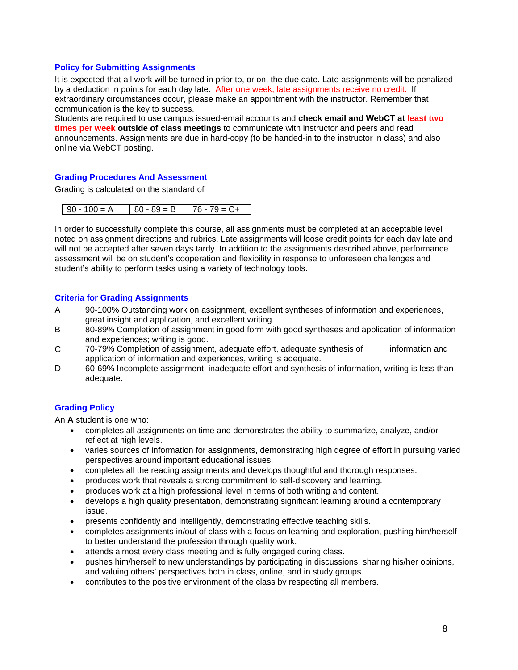## **Policy for Submitting Assignments**

It is expected that all work will be turned in prior to, or on, the due date. Late assignments will be penalized by a deduction in points for each day late. After one week, late assignments receive no credit. If extraordinary circumstances occur, please make an appointment with the instructor. Remember that communication is the key to success.

Students are required to use campus issued-email accounts and **check email and WebCT at least two times per week outside of class meetings** to communicate with instructor and peers and read announcements. Assignments are due in hard-copy (to be handed-in to the instructor in class) and also online via WebCT posting.

## **Grading Procedures And Assessment**

Grading is calculated on the standard of

|  | $90 - 100 = A$ | $80 - 89 = B$ 176 - 79 = C+ |  |
|--|----------------|-----------------------------|--|
|--|----------------|-----------------------------|--|

In order to successfully complete this course, all assignments must be completed at an acceptable level noted on assignment directions and rubrics. Late assignments will loose credit points for each day late and will not be accepted after seven days tardy. In addition to the assignments described above, performance assessment will be on student's cooperation and flexibility in response to unforeseen challenges and student's ability to perform tasks using a variety of technology tools.

## **Criteria for Grading Assignments**

- great insight and application, and excellent writing. A 90-100% Outstanding work on assignment, excellent syntheses of information and experiences,
- B 80-89% Completion of assignment in good form with good syntheses and application of information and experiences; writing is good.
- $\overline{C}$ 70-79% Completion of assignment, adequate effort, adequate synthesis of information and application of information and experiences, writing is adequate.
- D 60-69% Incomplete assignment, inadequate effort and synthesis of information, writing is less than adequate.

# **Grading Policy**

An **A** student is one who:

- • completes all assignments on time and demonstrates the ability to summarize, analyze, and/or reflect at high levels.
- varies sources of information for assignments, demonstrating high degree of effort in pursuing varied perspectives around important educational issues.
- completes all the reading assignments and develops thoughtful and thorough responses.
- produces work that reveals a strong commitment to self-discovery and learning.
- produces work at a high professional level in terms of both writing and content.
- develops a high quality presentation, demonstrating significant learning around a contemporary issue.
- presents confidently and intelligently, demonstrating effective teaching skills.
- completes assignments in/out of class with a focus on learning and exploration, pushing him/herself to better understand the profession through quality work.
- attends almost every class meeting and is fully engaged during class.
- pushes him/herself to new understandings by participating in discussions, sharing his/her opinions, and valuing others' perspectives both in class, online, and in study groups.
- contributes to the positive environment of the class by respecting all members.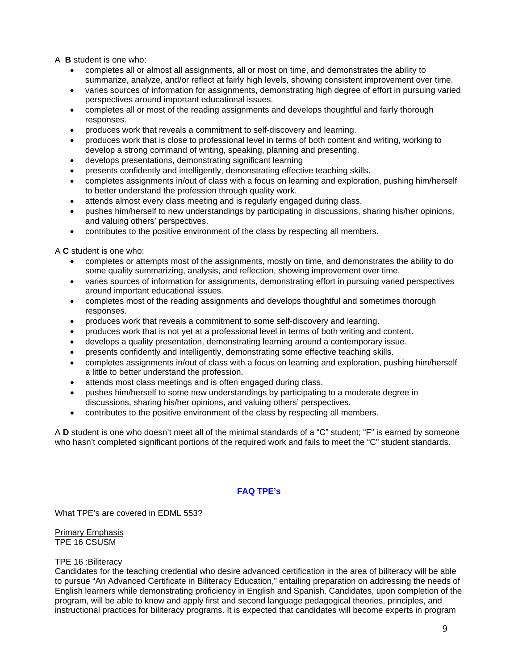A **B** student is one who:

- completes all or almost all assignments, all or most on time, and demonstrates the ability to summarize, analyze, and/or reflect at fairly high levels, showing consistent improvement over time.
- varies sources of information for assignments, demonstrating high degree of effort in pursuing varied perspectives around important educational issues.
- responses. completes all or most of the reading assignments and develops thoughtful and fairly thorough
- produces work that reveals a commitment to self-discovery and learning.
- produces work that is close to professional level in terms of both content and writing, working to develop a strong command of writing, speaking, planning and presenting.
- • develops presentations, demonstrating significant learning
- presents confidently and intelligently, demonstrating effective teaching skills.
- completes assignments in/out of class with a focus on learning and exploration, pushing him/herself to better understand the profession through quality work.
- attends almost every class meeting and is regularly engaged during class.
- pushes him/herself to new understandings by participating in discussions, sharing his/her opinions, and valuing others' perspectives.
- contributes to the positive environment of the class by respecting all members.

A **C** student is one who:

- completes or attempts most of the assignments, mostly on time, and demonstrates the ability to do some quality summarizing, analysis, and reflection, showing improvement over time.
- varies sources of information for assignments, demonstrating effort in pursuing varied perspectives around important educational issues.
- responses. completes most of the reading assignments and develops thoughtful and sometimes thorough
- produces work that reveals a commitment to some self-discovery and learning.
- produces work that is not yet at a professional level in terms of both writing and content.
- develops a quality presentation, demonstrating learning around a contemporary issue.
- presents confidently and intelligently, demonstrating some effective teaching skills.
- completes assignments in/out of class with a focus on learning and exploration, pushing him/herself a little to better understand the profession.
- attends most class meetings and is often engaged during class.
- pushes him/herself to some new understandings by participating to a moderate degree in discussions, sharing his/her opinions, and valuing others' perspectives.
- contributes to the positive environment of the class by respecting all members.

A **D** student is one who doesn't meet all of the minimal standards of a "C" student; "F" is earned by someone who hasn't completed significant portions of the required work and fails to meet the "C" student standards.

# **FAQ TPE's**

What TPE's are covered in EDML 553?

Primary Emphasis TPE 16 CSUSM

### TPE 16 :Biliteracy

Candidates for the teaching credential who desire advanced certification in the area of biliteracy will be able to pursue "An Advanced Certificate in Biliteracy Education," entailing preparation on addressing the needs of English learners while demonstrating proficiency in English and Spanish. Candidates, upon completion of the program, will be able to know and apply first and second language pedagogical theories, principles, and instructional practices for biliteracy programs. It is expected that candidates will become experts in program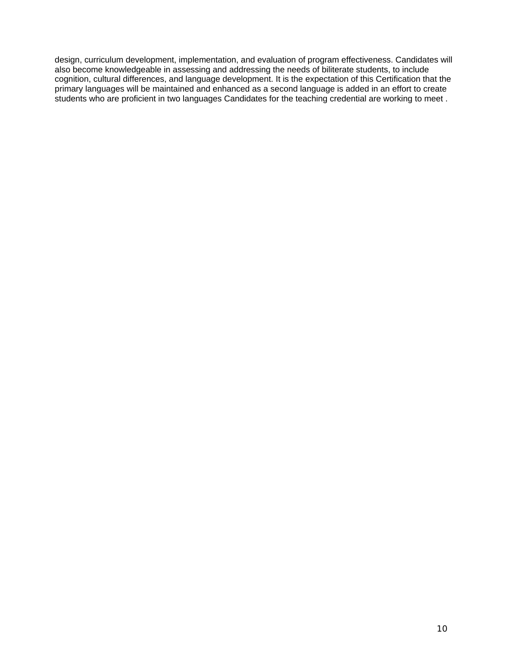design, curriculum development, implementation, and evaluation of program effectiveness. Candidates will also become knowledgeable in assessing and addressing the needs of biliterate students, to include cognition, cultural differences, and language development. It is the expectation of this Certification that the primary languages will be maintained and enhanced as a second language is added in an effort to create students who are proficient in two languages Candidates for the teaching credential are working to meet .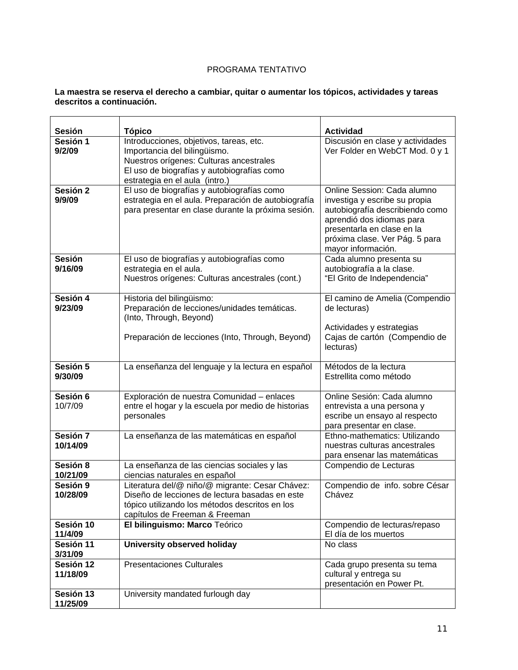# PROGRAMA TENTATIVO

### **La maestra se reserva el derecho a cambiar, quitar o aumentar los tópicos, actividades y tareas descritos a continuación.**

| Sesión                   | <b>Tópico</b>                                                                                                                                                                                      | <b>Actividad</b>                                                                                                                                                                                                   |
|--------------------------|----------------------------------------------------------------------------------------------------------------------------------------------------------------------------------------------------|--------------------------------------------------------------------------------------------------------------------------------------------------------------------------------------------------------------------|
| Sesión 1<br>9/2/09       | Introducciones, objetivos, tareas, etc.<br>Importancia del bilingüismo.<br>Nuestros orígenes: Culturas ancestrales<br>El uso de biografías y autobiografías como<br>estrategia en el aula (intro.) | Discusión en clase y actividades<br>Ver Folder en WebCT Mod. 0 y 1                                                                                                                                                 |
| Sesión 2<br>9/9/09       | El uso de biografías y autobiografías como<br>estrategia en el aula. Preparación de autobiografía<br>para presentar en clase durante la próxima sesión.                                            | Online Session: Cada alumno<br>investiga y escribe su propia<br>autobiografía describiendo como<br>aprendió dos idiomas para<br>presentarla en clase en la<br>próxima clase. Ver Pág. 5 para<br>mayor información. |
| <b>Sesión</b><br>9/16/09 | El uso de biografías y autobiografías como<br>estrategia en el aula.<br>Nuestros orígenes: Culturas ancestrales (cont.)                                                                            | Cada alumno presenta su<br>autobiografía a la clase.<br>"El Grito de Independencia"                                                                                                                                |
| Sesión 4<br>9/23/09      | Historia del bilingüismo:<br>Preparación de lecciones/unidades temáticas.<br>(Into, Through, Beyond)<br>Preparación de lecciones (Into, Through, Beyond)                                           | El camino de Amelia (Compendio<br>de lecturas)<br>Actividades y estrategias<br>Cajas de cartón (Compendio de<br>lecturas)                                                                                          |
| Sesión 5<br>9/30/09      | La enseñanza del lenguaje y la lectura en español                                                                                                                                                  | Métodos de la lectura<br>Estrellita como método                                                                                                                                                                    |
| Sesión 6<br>10/7/09      | Exploración de nuestra Comunidad - enlaces<br>entre el hogar y la escuela por medio de historias<br>personales                                                                                     | Online Sesión: Cada alumno<br>entrevista a una persona y<br>escribe un ensayo al respecto<br>para presentar en clase.                                                                                              |
| Sesión 7<br>10/14/09     | La enseñanza de las matemáticas en español                                                                                                                                                         | Ethno-mathematics: Utilizando<br>nuestras culturas ancestrales<br>para ensenar las matemáticas                                                                                                                     |
| Sesión 8<br>10/21/09     | La enseñanza de las ciencias sociales y las<br>ciencias naturales en español                                                                                                                       | Compendio de Lecturas                                                                                                                                                                                              |
| Sesión 9<br>10/28/09     | Literatura del/@ niño/@ migrante: Cesar Chávez:<br>Diseño de lecciones de lectura basadas en este<br>tópico utilizando los métodos descritos en los<br>capítulos de Freeman & Freeman              | Compendio de info. sobre César<br>Chávez                                                                                                                                                                           |
| Sesión 10<br>11/4/09     | El bilinguismo: Marco Teórico                                                                                                                                                                      | Compendio de lecturas/repaso<br>El día de los muertos                                                                                                                                                              |
| Sesión 11<br>3/31/09     | University observed holiday                                                                                                                                                                        | No class                                                                                                                                                                                                           |
| Sesión 12<br>11/18/09    | <b>Presentaciones Culturales</b>                                                                                                                                                                   | Cada grupo presenta su tema<br>cultural y entrega su<br>presentación en Power Pt.                                                                                                                                  |
| Sesión 13<br>11/25/09    | University mandated furlough day                                                                                                                                                                   |                                                                                                                                                                                                                    |